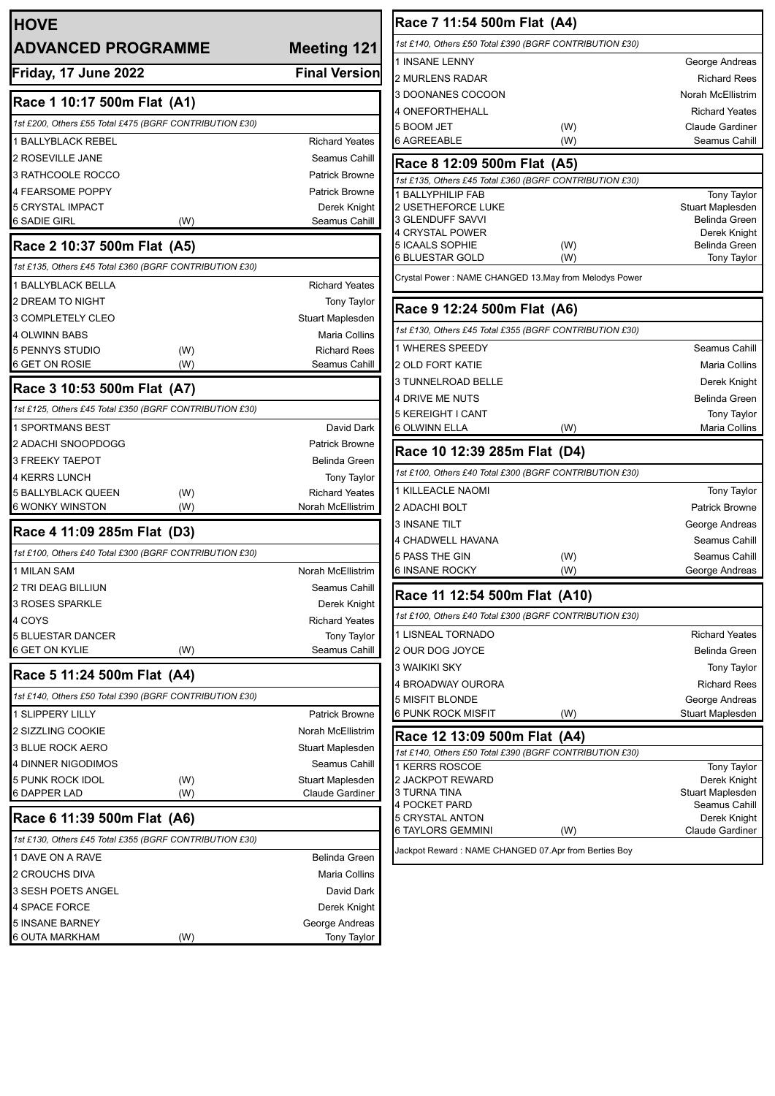| <b>HOVE</b>                                                |                                            | Race 7 11:54 500m Flat (A4)                             |  |  |
|------------------------------------------------------------|--------------------------------------------|---------------------------------------------------------|--|--|
| <b>Meeting 121</b><br><b>ADVANCED PROGRAMME</b>            |                                            | 1st £140, Others £50 Total £390 (BGRF CONTRIBUTION £30) |  |  |
|                                                            |                                            | 1 INSANE LENNY                                          |  |  |
| Friday, 17 June 2022                                       | <b>Final Version</b>                       | <b>2 MURLENS RADAR</b>                                  |  |  |
| Race 1 10:17 500m Flat (A1)                                |                                            | 3 DOONANES COCOON                                       |  |  |
| 1st £200, Others £55 Total £475 (BGRF CONTRIBUTION £30)    |                                            | 4 ONEFORTHEHALL<br>5 BOOM JET<br>(W)                    |  |  |
| <b>1 BALLYBLACK REBEL</b>                                  | <b>Richard Yeates</b>                      | <b>6 AGREEABLE</b><br>(W)                               |  |  |
| 2 ROSEVILLE JANE                                           | Seamus Cahill                              | Race 8 12:09 500m Flat (A5)                             |  |  |
| 3 RATHCOOLE ROCCO                                          | <b>Patrick Browne</b>                      | 1st £135, Others £45 Total £360 (BGRF CONTRIBUTION £30) |  |  |
| 4 FEARSOME POPPY                                           | <b>Patrick Browne</b>                      | 1 BALLYPHILIP FAB                                       |  |  |
| 5 CRYSTAL IMPACT                                           | Derek Knight                               | <b>2 USETHEFORCE LUKE</b>                               |  |  |
| <b>6 SADIE GIRL</b><br>(W)                                 | Seamus Cahill                              | 3 GLENDUFF SAVVI<br>4 CRYSTAL POWER                     |  |  |
| Race 2 10:37 500m Flat (A5)                                |                                            | 5 ICAALS SOPHIE<br>(W)                                  |  |  |
| 1st £135, Others £45 Total £360 (BGRF CONTRIBUTION £30)    |                                            | <b>6 BLUESTAR GOLD</b><br>(W)                           |  |  |
| 1 BALLYBLACK BELLA                                         | <b>Richard Yeates</b>                      | Crystal Power: NAME CHANGED 13.May from Melodys Power   |  |  |
| 2 DREAM TO NIGHT                                           | Tony Taylor                                | Race 9 12:24 500m Flat (A6)                             |  |  |
| 3 COMPLETELY CLEO                                          | Stuart Maplesden                           |                                                         |  |  |
| 4 OLWINN BABS                                              | Maria Collins                              | 1st £130, Others £45 Total £355 (BGRF CONTRIBUTION £30) |  |  |
| 5 PENNYS STUDIO<br>(W)                                     | <b>Richard Rees</b>                        | 1 WHERES SPEEDY                                         |  |  |
| 6 GET ON ROSIE<br>(W)                                      | Seamus Cahill                              | 2 OLD FORT KATIE<br>3 TUNNELROAD BELLE                  |  |  |
| Race 3 10:53 500m Flat (A7)                                |                                            | 4 DRIVE ME NUTS                                         |  |  |
| 1st £125, Others £45 Total £350 (BGRF CONTRIBUTION £30)    |                                            | 5 KEREIGHT I CANT                                       |  |  |
| 1 SPORTMANS BEST                                           | David Dark                                 | <b>6 OLWINN ELLA</b><br>(W)                             |  |  |
| 2 ADACHI SNOOPDOGG                                         | <b>Patrick Browne</b>                      | Race 10 12:39 285m Flat (D4)                            |  |  |
| 3 FREEKY TAEPOT                                            | Belinda Green                              |                                                         |  |  |
| 4 KERRS LUNCH                                              | <b>Tony Taylor</b>                         | 1st £100, Others £40 Total £300 (BGRF CONTRIBUTION £30) |  |  |
| 5 BALLYBLACK QUEEN<br>(W)<br>(W)<br><b>6 WONKY WINSTON</b> | <b>Richard Yeates</b><br>Norah McEllistrim | 1 KILLEACLE NAOMI<br>2 ADACHI BOLT                      |  |  |
|                                                            |                                            | <b>3 INSANE TILT</b>                                    |  |  |
| Race 4 11:09 285m Flat (D3)                                |                                            | 4 CHADWELL HAVANA                                       |  |  |
| 1st £100, Others £40 Total £300 (BGRF CONTRIBUTION £30)    |                                            | 5 PASS THE GIN<br>(W)                                   |  |  |
| 1 MILAN SAM                                                | Norah McEllistrim                          | (W)<br>6 INSANE ROCKY                                   |  |  |
| 2 TRI DEAG BILLIUN                                         | Seamus Cahill                              | Race 11 12:54 500m Flat (A10)                           |  |  |
| 3 ROSES SPARKLE                                            | Derek Knight                               | 1st £100, Others £40 Total £300 (BGRF CONTRIBUTION £30) |  |  |
| 4 COYS                                                     | <b>Richard Yeates</b>                      | 1 LISNEAL TORNADO                                       |  |  |
| 5 BLUESTAR DANCER<br>6 GET ON KYLIE<br>(W)                 | <b>Tony Taylor</b><br>Seamus Cahill        | 2 OUR DOG JOYCE                                         |  |  |
|                                                            |                                            | 3 WAIKIKI SKY                                           |  |  |
| Race 5 11:24 500m Flat (A4)                                |                                            | 4 BROADWAY OURORA                                       |  |  |
| 1st £140, Others £50 Total £390 (BGRF CONTRIBUTION £30)    |                                            | 5 MISFIT BLONDE                                         |  |  |
| 1 SLIPPERY LILLY                                           | <b>Patrick Browne</b>                      | 6 PUNK ROCK MISFIT<br>(W)                               |  |  |
| 2 SIZZLING COOKIE                                          | Norah McEllistrim                          | Race 12 13:09 500m Flat (A4)                            |  |  |
| 3 BLUE ROCK AERO                                           | Stuart Maplesden                           | 1st £140, Others £50 Total £390 (BGRF CONTRIBUTION £30) |  |  |
| 4 DINNER NIGODIMOS                                         | Seamus Cahill                              | 1 KERRS ROSCOE                                          |  |  |
| 5 PUNK ROCK IDOL<br>(W)<br><b>6 DAPPER LAD</b><br>(W)      | Stuart Maplesden<br>Claude Gardiner        | 2 JACKPOT REWARD<br>3 TURNA TINA                        |  |  |
|                                                            |                                            | 4 POCKET PARD                                           |  |  |
| Race 6 11:39 500m Flat (A6)                                |                                            | 5 CRYSTAL ANTON<br>6 TAYLORS GEMMINI<br>(W)             |  |  |
| 1st £130, Others £45 Total £355 (BGRF CONTRIBUTION £30)    |                                            | Jackpot Reward : NAME CHANGED 07.Apr from Berties Boy   |  |  |
| 1 DAVE ON A RAVE                                           | <b>Belinda Green</b>                       |                                                         |  |  |
| 2 CROUCHS DIVA                                             | Maria Collins                              |                                                         |  |  |
| 3 SESH POETS ANGEL                                         | David Dark                                 |                                                         |  |  |
| 4 SPACE FORCE<br>5 INSANE BARNEY                           | Derek Knight                               |                                                         |  |  |
| 6 OUTA MARKHAM<br>(W)                                      | George Andreas<br>Tony Taylor              |                                                         |  |  |
|                                                            |                                            |                                                         |  |  |

George Andreas Richard Rees Norah McEllistrim **Richard Yeates** Claude Gardiner Seamus Cahill

Tony Taylor Stuart Maplesden Belinda Green Derek Knight Belinda Green Tony Taylor

> Seamus Cahill Maria Collins Derek Knight Belinda Green Tony Taylor Maria Collins

Tony Taylor Patrick Browne George Andreas Seamus Cahill Seamus Cahill George Andreas

Richard Yeates Belinda Green Tony Taylor Richard Rees George Andreas Stuart Maplesden

Tony Taylor Derek Knight Stuart Maplesden Seamus Cahill Derek Knight Claude Gardiner